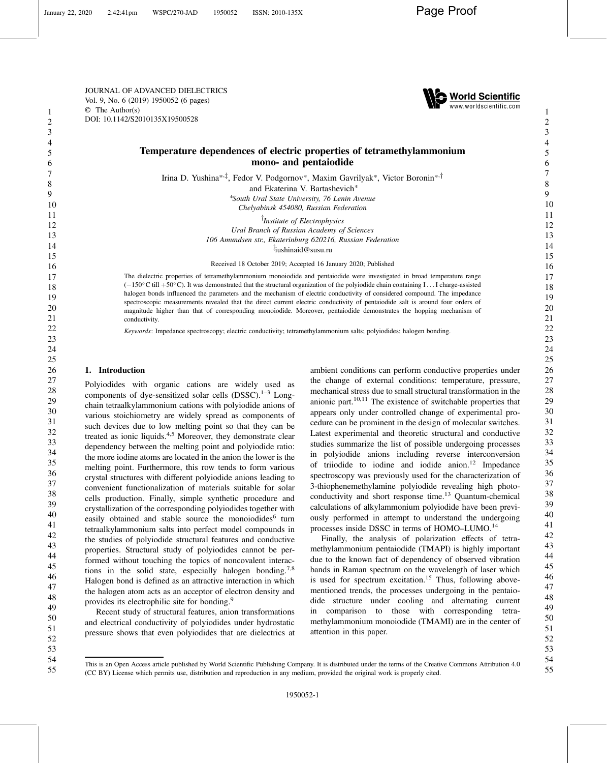JOURNAL OF ADVANCED DIELECTRICS Vol. 9, No. 6 (2019) 1950052 (6 pages) © The Author(s) DOI: [10.1142/S2010135X19500528](https://dx.doi.org/10.1142/S2010135X19500528)



# Temperature dependences of electric properties of tetramethylammonium mono- and pentaiodide

Irina D. Yushina\*<sup>,‡</sup>, Fedor V. Podgornov\*, Maxim Gavrilyak\*, Victor Boronin\*<sup>,†</sup>

and Ekaterina V. Bartashevich\*

\*South Ural State University, 76 Lenin Avenue Chelyabinsk 454080, Russian Federation

<sup>T</sup>Institute of Electrophysics Ural Branch of Russian Academy of Sciences 106 Amundsen str., Ekaterinburg 620216, Russian Federation z iushinaid@susu.ru

Received 18 October 2019; Accepted 16 January 2020; Published

The dielectric properties of tetramethylammonium monoiodide and pentaiodide were investigated in broad temperature range  $(-150^{\circ}$ C till +50°C). It was demonstrated that the structural organization of the polyiodide chain containing I . . I charge-assisted halogen bonds influenced the parameters and the mechanism of electric conductivity of considered compound. The impedance spectroscopic measurements revealed that the direct current electric conductivity of pentaiodide salt is around four orders of magnitude higher than that of corresponding monoiodide. Moreover, pentaiodide demonstrates the hopping mechanism of conductivity.

Keywords: Impedance spectroscopy; electric conductivity; tetramethylammonium salts; polyiodides; halogen bonding.

## 1. Introduction

Polyiodides with organic cations are widely used as components of dye-sensitized solar cells  $(DSSC)^{1-3}$  $(DSSC)^{1-3}$  $(DSSC)^{1-3}$  $(DSSC)^{1-3}$  $(DSSC)^{1-3}$  Longchain tetraalkylammonium cations with polyiodide anions of various stoichiometry are widely spread as components of such devices due to low melting point so that they can be treated as ionic liquids.<sup>[4,5](#page-5-0)</sup> Moreover, they demonstrate clear dependency between the melting point and polyiodide ratio: the more iodine atoms are located in the anion the lower is the melting point. Furthermore, this row tends to form various crystal structures with different polyiodide anions leading to convenient functionalization of materials suitable for solar cells production. Finally, simple synthetic procedure and crystallization of the corresponding polyiodides together with easily obtained and stable source the monoiodides<sup>[6](#page-5-0)</sup> turn tetraalkylammonium salts into perfect model compounds in the studies of polyiodide structural features and conductive properties. Structural study of polyiodides cannot be performed without touching the topics of noncovalent interac-tions in the solid state, especially halogen bonding.<sup>[7,8](#page-5-0)</sup> Halogen bond is defined as an attractive interaction in which the halogen atom acts as an acceptor of electron density and provides its electrophilic site for bonding.<sup>[9](#page-5-0)</sup>

Recent study of structural features, anion transformations and electrical conductivity of polyiodides under hydrostatic pressure shows that even polyiodides that are dielectrics at ambient conditions can perform conductive properties under the change of external conditions: temperature, pressure, mechanical stress due to small structural transformation in the anionic part. $10,11$  The existence of switchable properties that appears only under controlled change of experimental procedure can be prominent in the design of molecular switches. Latest experimental and theoretic structural and conductive studies summarize the list of possible undergoing processes in polyiodide anions including reverse interconversion of triiodide to iodine and iodide anion.<sup>[12](#page-5-0)</sup> Impedance spectroscopy was previously used for the characterization of 3-thiophenemethylamine polyiodide revealing high photo-conductivity and short response time.<sup>[13](#page-5-0)</sup> Quantum-chemical calculations of alkylammonium polyiodide have been previously performed in attempt to understand the undergoing processes inside DSSC in terms of HOMO–LUMO.[14](#page-5-0)

Finally, the analysis of polarization effects of tetramethylammonium pentaiodide (TMAPI) is highly important due to the known fact of dependency of observed vibration bands in Raman spectrum on the wavelength of laser which is used for spectrum excitation.<sup>[15](#page-5-0)</sup> Thus, following abovementioned trends, the processes undergoing in the pentaiodide structure under cooling and alternating current in comparison to those with corresponding tetramethylammonium monoiodide (TMAMI) are in the center of attention in this paper.

55

<sup>52</sup> 53 54

This is an Open Access article published by World Scientific Publishing Company. It is distributed under the terms of the Creative Commons Attribution 4.0 (CC BY) License which permits use, distribution and reproduction in any medium, provided the original work is properly cited.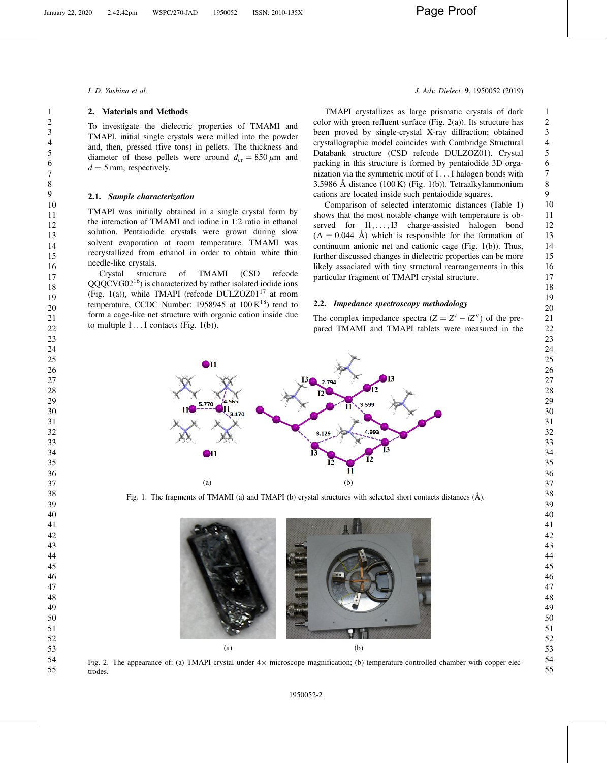<span id="page-1-0"></span>

## 2. Materials and Methods

To investigate the dielectric properties of TMAMI and TMAPI, initial single crystals were milled into the powder and, then, pressed (five tons) in pellets. The thickness and diameter of these pellets were around  $d_{cr} = 850 \,\mu \text{m}$  and  $d = 5$  mm, respectively.

### 2.1. Sample characterization

TMAPI was initially obtained in a single crystal form by the interaction of TMAMI and iodine in 1:2 ratio in ethanol solution. Pentaiodide crystals were grown during slow solvent evaporation at room temperature. TMAMI was recrystallized from ethanol in order to obtain white thin needle-like crystals.

Crystal structure of TMAMI (CSD refcode QQQCVG02[16\)](#page-5-0) is characterized by rather isolated iodide ions (Fig. 1(a)), while TMAPI (refcode DULZOZ01[17](#page-5-0) at room temperature, CCDC Number: 1958945 at  $100 K^{18}$ ) tend to form a cage-like net structure with organic cation inside due to multiple  $I \dots I$  contacts (Fig. 1(b)).

### I. D. Yushina et al. J. Adv. Dielect. 9, 1950052 (2019)

 

 

TMAPI crystallizes as large prismatic crystals of dark color with green refluent surface (Fig.  $2(a)$ ). Its structure has been proved by single-crystal X-ray diffraction; obtained crystallographic model coincides with Cambridge Structural Databank structure (CSD refcode DULZOZ01). Crystal packing in this structure is formed by pentaiodide 3D organization via the symmetric motif of I ... I halogen bonds with 3.5986 Å distance (100 K) (Fig. 1(b)). Tetraalkylammonium cations are located inside such pentaiodide squares. 

Comparison of selected interatomic distances (Table [1\)](#page-2-0) shows that the most notable change with temperature is observed for  $I1, \ldots, I3$  charge-assisted halogen bond  $(\Delta = 0.044 \text{ Å})$  which is responsible for the formation of continuum anionic net and cationic cage (Fig. 1(b)). Thus, further discussed changes in dielectric properties can be more likely associated with tiny structural rearrangements in this particular fragment of TMAPI crystal structure.

## 2.2. Impedance spectroscopy methodology

The complex impedance spectra  $(Z = Z' - iZ'')$  of the prepared TMAMI and TMAPI tablets were measured in the



Fig. 1. The fragments of TMAMI (a) and TMAPI (b) crystal structures with selected short contacts distances (Å).



Fig. 2. The appearance of: (a) TMAPI crystal under  $4 \times$  microscope magnification; (b) temperature-controlled chamber with copper electrodes.

1950052-2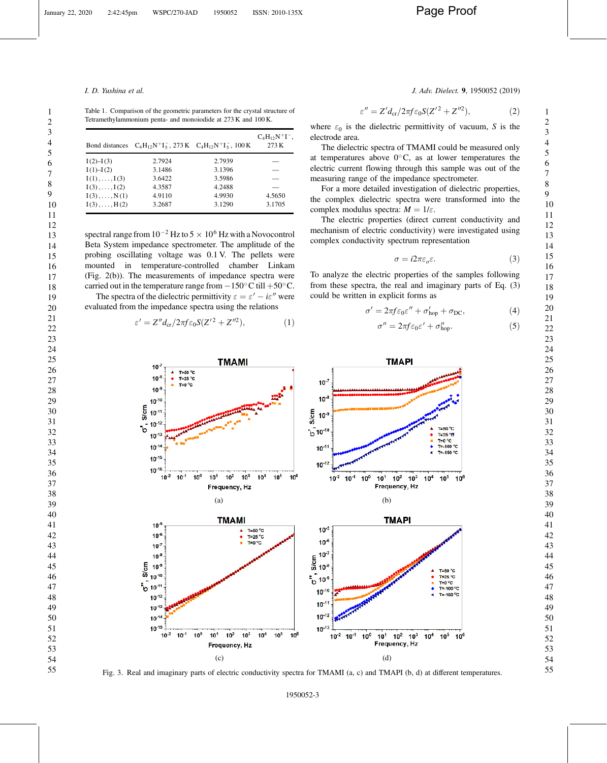Table 1. Comparison of the geometric parameters for the crystal structure of Tetramethylammonium penta- and monoiodide at 273 K and 100 K.

| Bond distances       |        | $C_4H_{12}N^+I_5^-$ , 273 K $C_4H_{12}N^+I_5^-$ , 100 K | $C_4H_{12}N^+I^-,$<br>273K |
|----------------------|--------|---------------------------------------------------------|----------------------------|
| $I(2) - I(3)$        | 2.7924 | 2.7939                                                  |                            |
| I(1)–I(2)            | 3.1486 | 3.1396                                                  |                            |
| $I(1), \ldots, I(3)$ | 3.6422 | 3.5986                                                  |                            |
| $I(3), \ldots, I(2)$ | 4.3587 | 4.2488                                                  |                            |
| $I(3), \ldots, N(1)$ | 4.9110 | 4.9930                                                  | 4.5650                     |
| $I(3), \ldots, H(2)$ | 3.2687 | 3.1290                                                  | 3.1705                     |

spectral range from  $10^{-2}$  Hz to  $5 \times 10^6$  Hz with a Novocontrol Beta System impedance spectrometer. The amplitude of the probing oscillating voltage was 0.1 V. The pellets were mounted in temperature-controlled chamber Linkam (Fig. [2\(](#page-1-0)b)). The measurements of impedance spectra were carried out in the temperature range from  $-150^{\circ}$ C till  $+50^{\circ}$ C. The spectra of the dielectric permittivity  $\varepsilon = \varepsilon' - i\varepsilon''$  were evaluated from the impedance spectra using the relations

$$
\varepsilon' = Z'' d_{\rm cr} / 2\pi f \varepsilon_0 S (Z'^2 + Z''^2),\tag{1}
$$

<span id="page-2-0"></span>I. D. Yushina et al. J. Adv. Dielect. 9, 1950052 (2019)

$$
\varepsilon'' = Z'd_{\rm cr}/2\pi f \varepsilon_0 S(Z'^2 + Z''^2),\tag{2}
$$

where  $\varepsilon_0$  is the dielectric permittivity of vacuum, S is the electrode area.

The dielectric spectra of TMAMI could be measured only at temperatures above  $0^{\circ}$ C, as at lower temperatures the electric current flowing through this sample was out of the measuring range of the impedance spectrometer.

For a more detailed investigation of dielectric properties, the complex dielectric spectra were transformed into the complex modulus spectra:  $M = 1/\varepsilon$ .

The electric properties (direct current conductivity and mechanism of electric conductivity) were investigated using complex conductivity spectrum representation

$$
\sigma = i2\pi\varepsilon_o \varepsilon. \tag{3}
$$

To analyze the electric properties of the samples following from these spectra, the real and imaginary parts of Eq. (3) could be written in explicit forms as

$$
\sigma' = 2\pi f \varepsilon_0 \varepsilon'' + \sigma'_{\text{hop}} + \sigma_{\text{DC}},\tag{4}
$$

$$
\sigma'' = 2\pi f \varepsilon_0 \varepsilon' + \sigma_{\text{hop}}''.
$$
 (5)



Fig. 3. Real and imaginary parts of electric conductivity spectra for TMAMI (a, c) and TMAPI (b, d) at different temperatures.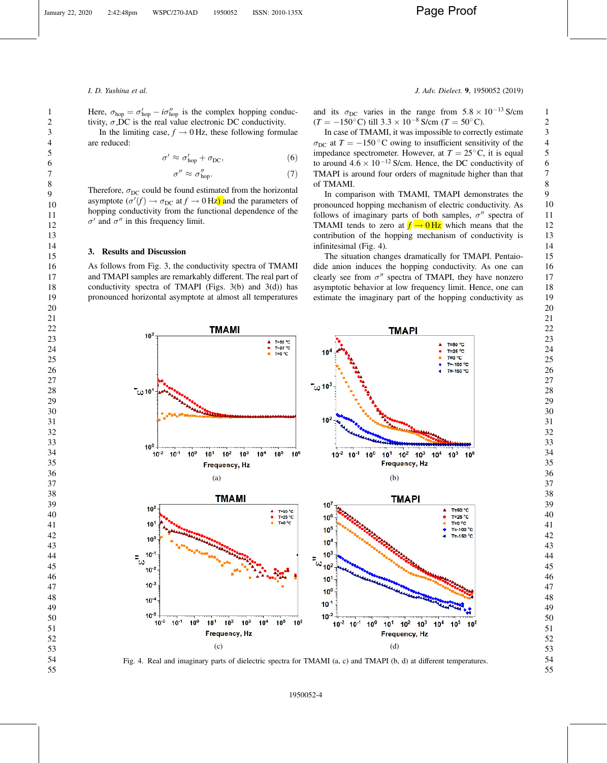Here,  $\sigma_{\text{hop}} = \sigma'_{\text{hop}} - i\sigma''_{\text{hop}}$  is the complex hopping conductivity,  $\sigma$  DC is the real value electronic DC conductivity. In the limiting case,  $f \rightarrow 0$  Hz, these following formulae are reduced:

$$
\sigma' \approx \sigma'_{\rm hop} + \sigma_{\rm DC},\tag{6}
$$

**TMAMI** 

$$
\sigma'' \approx \sigma''_{\text{hop}}.\tag{7}
$$

Therefore,  $\sigma_{DC}$  could be found estimated from the horizontal asymptote ( $\sigma'(f) \to \sigma_{DC}$  at  $f \to 0$  Hz) and the parameters of hopping conductivity from the functional dependence of the  $\sigma'$  and  $\sigma''$  in this frequency limit.

### 3. Results and Discussion

 $10<sup>7</sup>$ 

As follows from Fig. [3](#page-2-0), the conductivity spectra of TMAMI and TMAPI samples are remarkably different. The real part of conductivity spectra of TMAPI (Figs.  $3(b)$  and  $3(d)$ ) has pronounced horizontal asymptote at almost all temperatures

<span id="page-3-0"></span>I. D. Yushina et al. J. Adv. Dielect. 9, 1950052 (2019)

and its  $\sigma_{\text{DC}}$  varies in the range from  $5.8 \times 10^{-13}$  S/cm  $(T = -150^{\circ} \text{C})$  till  $3.3 \times 10^{-8}$  S/cm  $(T = 50^{\circ} \text{C})$ .

In case of TMAMI, it was impossible to correctly estimate  $\sigma_{\text{DC}}$  at  $T = -150$  °C owing to insufficient sensitivity of the impedance spectrometer. However, at  $T = 25^{\circ}$ C, it is equal to around  $4.6 \times 10^{-12}$  S/cm. Hence, the DC conductivity of TMAPI is around four orders of magnitude higher than that of TMAMI.

In comparison with TMAMI, TMAPI demonstrates the pronounced hopping mechanism of electric conductivity. As follows of imaginary parts of both samples,  $\sigma''$  spectra of TMAMI tends to zero at  $f \rightarrow 0$  Hz which means that the contribution of the hopping mechanism of conductivity is infinitesimal (Fig. 4).

The situation changes dramatically for TMAPI. Pentaiodide anion induces the hopping conductivity. As one can clearly see from  $\sigma''$  spectra of TMAPI, they have nonzero asymptotic behavior at low frequency limit. Hence, one can estimate the imaginary part of the hopping conductivity as

> T=50 °C  $T = 25 °C$ T=0 °C  $T = 100 °C$ T=-150 °C

**TMAPI** 



T=50 °C<br>T=25 °C<br>T=0 °C

Fig. 4. Real and imaginary parts of dielectric spectra for TMAMI (a, c) and TMAPI (b, d) at different temperatures.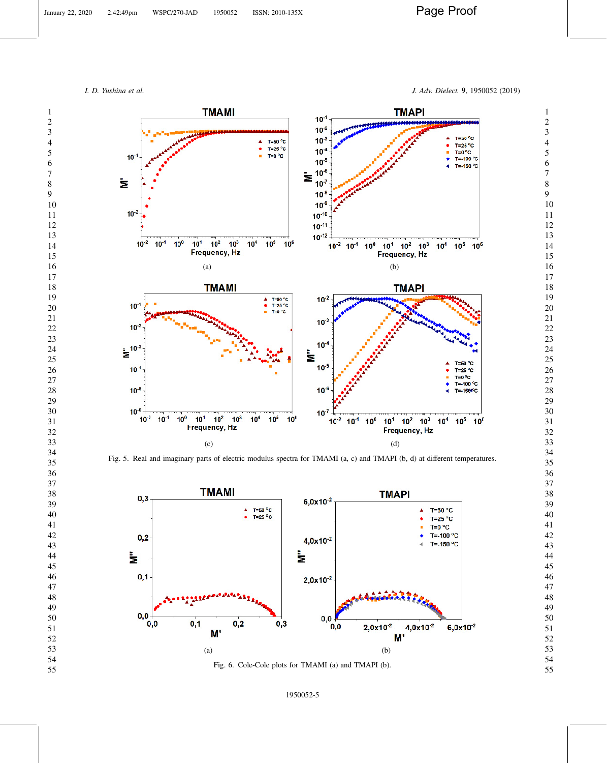<span id="page-4-0"></span>I. D. Yushina et al. J. Adv. Dielect. 9, 1950052 (2019)



Fig. 5. Real and imaginary parts of electric modulus spectra for TMAMI (a, c) and TMAPI (b, d) at different temperatures.